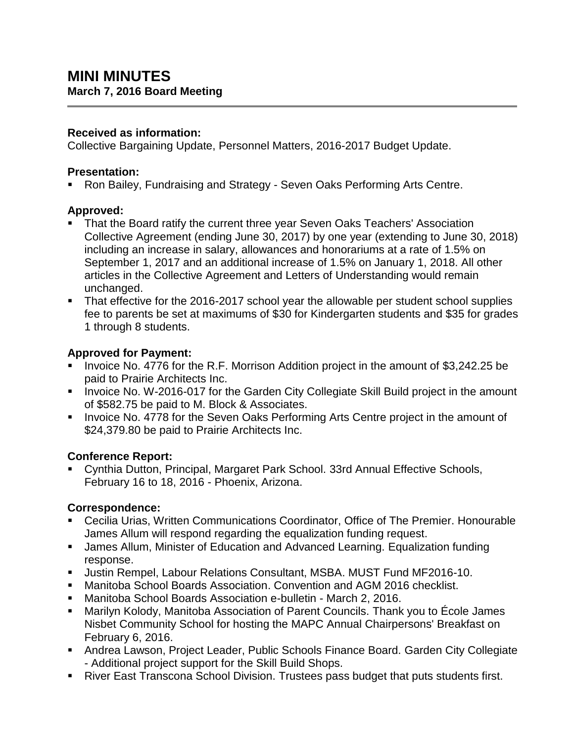#### **Received as information:**

Collective Bargaining Update, Personnel Matters, 2016-2017 Budget Update.

## **Presentation:**

Ron Bailey, Fundraising and Strategy - Seven Oaks Performing Arts Centre.

## **Approved:**

- That the Board ratify the current three year Seven Oaks Teachers' Association Collective Agreement (ending June 30, 2017) by one year (extending to June 30, 2018) including an increase in salary, allowances and honorariums at a rate of 1.5% on September 1, 2017 and an additional increase of 1.5% on January 1, 2018. All other articles in the Collective Agreement and Letters of Understanding would remain unchanged.
- That effective for the 2016-2017 school year the allowable per student school supplies fee to parents be set at maximums of \$30 for Kindergarten students and \$35 for grades 1 through 8 students.

## **Approved for Payment:**

- **Invoice No. 4776 for the R.F. Morrison Addition project in the amount of \$3,242.25 be** paid to Prairie Architects Inc.
- **IDED** Invoice No. W-2016-017 for the Garden City Collegiate Skill Build project in the amount of \$582.75 be paid to M. Block & Associates.
- **Invoice No. 4778 for the Seven Oaks Performing Arts Centre project in the amount of** \$24,379.80 be paid to Prairie Architects Inc.

# **Conference Report:**

 Cynthia Dutton, Principal, Margaret Park School. 33rd Annual Effective Schools, February 16 to 18, 2016 - Phoenix, Arizona.

#### **Correspondence:**

- Cecilia Urias, Written Communications Coordinator, Office of The Premier. Honourable James Allum will respond regarding the equalization funding request.
- James Allum, Minister of Education and Advanced Learning. Equalization funding response.
- Justin Rempel, Labour Relations Consultant, MSBA. MUST Fund MF2016-10.
- Manitoba School Boards Association. Convention and AGM 2016 checklist.
- Manitoba School Boards Association e-bulletin March 2, 2016.
- Marilyn Kolody, Manitoba Association of Parent Councils. Thank you to École James Nisbet Community School for hosting the MAPC Annual Chairpersons' Breakfast on February 6, 2016.
- Andrea Lawson, Project Leader, Public Schools Finance Board. Garden City Collegiate - Additional project support for the Skill Build Shops.
- River East Transcona School Division. Trustees pass budget that puts students first.